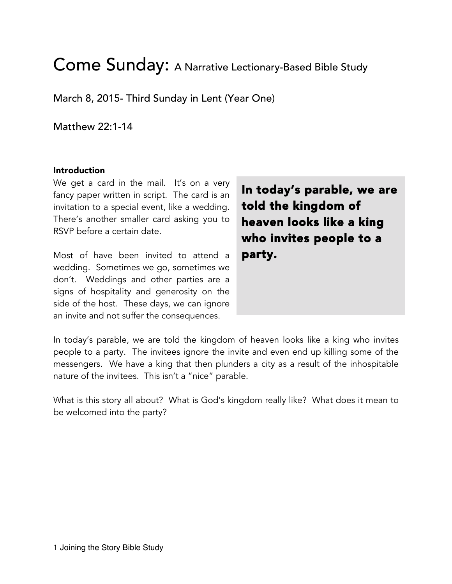# Come Sunday: A Narrative Lectionary-Based Bible Study

March 8, 2015- Third Sunday in Lent (Year One)

Matthew 22:1-14

#### Introduction

We get a card in the mail. It's on a very fancy paper written in script. The card is an invitation to a special event, like a wedding. There's another smaller card asking you to RSVP before a certain date.

Most of have been invited to attend a wedding. Sometimes we go, sometimes we don't. Weddings and other parties are a signs of hospitality and generosity on the side of the host. These days, we can ignore an invite and not suffer the consequences.

In today's parable, we are told the kingdom of heaven looks like a king who invites people to a party.

In today's parable, we are told the kingdom of heaven looks like a king who invites people to a party. The invitees ignore the invite and even end up killing some of the messengers. We have a king that then plunders a city as a result of the inhospitable nature of the invitees. This isn't a "nice" parable.

What is this story all about? What is God's kingdom really like? What does it mean to be welcomed into the party?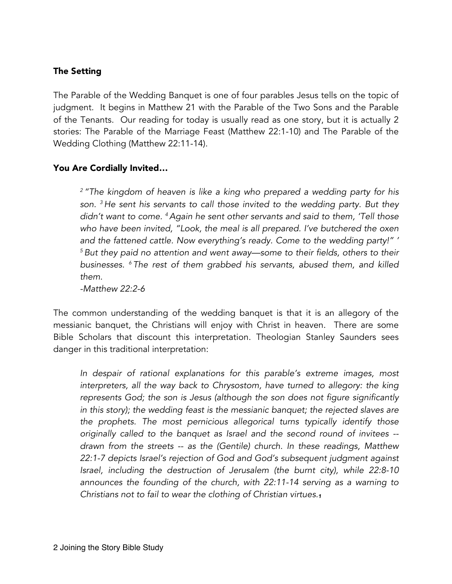## The Setting

The Parable of the Wedding Banquet is one of four parables Jesus tells on the topic of judgment. It begins in Matthew 21 with the Parable of the Two Sons and the Parable of the Tenants. Our reading for today is usually read as one story, but it is actually 2 stories: The Parable of the Marriage Feast (Matthew 22:1-10) and The Parable of the Wedding Clothing (Matthew 22:11-14).

#### You Are Cordially Invited…

*<sup>2</sup> "The kingdom of heaven is like a king who prepared a wedding party for his son. 3 He sent his servants to call those invited to the wedding party. But they didn't want to come. 4Again he sent other servants and said to them, 'Tell those who have been invited, "Look, the meal is all prepared. I've butchered the oxen and the fattened cattle. Now everything's ready. Come to the wedding party!" ' <sup>5</sup> But they paid no attention and went away—some to their fields, others to their businesses. 6 The rest of them grabbed his servants, abused them, and killed them.*

*-Matthew 22:2-6*

The common understanding of the wedding banquet is that it is an allegory of the messianic banquet, the Christians will enjoy with Christ in heaven. There are some Bible Scholars that discount this interpretation. Theologian Stanley Saunders sees danger in this traditional interpretation:

*In despair of rational explanations for this parable's extreme images, most*  interpreters, all the way back to Chrysostom, have turned to allegory: the king *represents God; the son is Jesus (although the son does not figure significantly in this story); the wedding feast is the messianic banquet; the rejected slaves are the prophets. The most pernicious allegorical turns typically identify those originally called to the banquet as Israel and the second round of invitees - drawn from the streets -- as the (Gentile) church. In these readings, Matthew 22:1-7 depicts Israel's rejection of God and God's subsequent judgment against Israel, including the destruction of Jerusalem (the burnt city), while 22:8-10*  announces the founding of the church, with 22:11-14 serving as a warning to *Christians not to fail to wear the clothing of Christian virtues.1*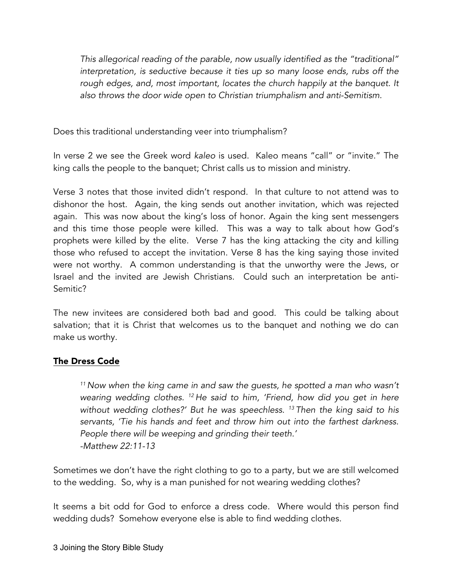*This allegorical reading of the parable, now usually identified as the "traditional" interpretation, is seductive because it ties up so many loose ends, rubs off the*  rough edges, and, most important, locates the church happily at the banquet. It *also throws the door wide open to Christian triumphalism and anti-Semitism.*

Does this traditional understanding veer into triumphalism?

In verse 2 we see the Greek word *kaleo* is used. Kaleo means "call" or "invite." The king calls the people to the banquet; Christ calls us to mission and ministry.

Verse 3 notes that those invited didn't respond. In that culture to not attend was to dishonor the host. Again, the king sends out another invitation, which was rejected again. This was now about the king's loss of honor. Again the king sent messengers and this time those people were killed. This was a way to talk about how God's prophets were killed by the elite. Verse 7 has the king attacking the city and killing those who refused to accept the invitation. Verse 8 has the king saying those invited were not worthy. A common understanding is that the unworthy were the Jews, or Israel and the invited are Jewish Christians. Could such an interpretation be anti-Semitic?

The new invitees are considered both bad and good. This could be talking about salvation; that it is Christ that welcomes us to the banquet and nothing we do can make us worthy.

## The Dress Code

*<sup>11</sup> Now when the king came in and saw the guests, he spotted a man who wasn't wearing wedding clothes. 12 He said to him, 'Friend, how did you get in here without wedding clothes?' But he was speechless. 13 Then the king said to his servants, 'Tie his hands and feet and throw him out into the farthest darkness. People there will be weeping and grinding their teeth.' -Matthew 22:11-13*

Sometimes we don't have the right clothing to go to a party, but we are still welcomed to the wedding. So, why is a man punished for not wearing wedding clothes?

It seems a bit odd for God to enforce a dress code. Where would this person find wedding duds? Somehow everyone else is able to find wedding clothes.